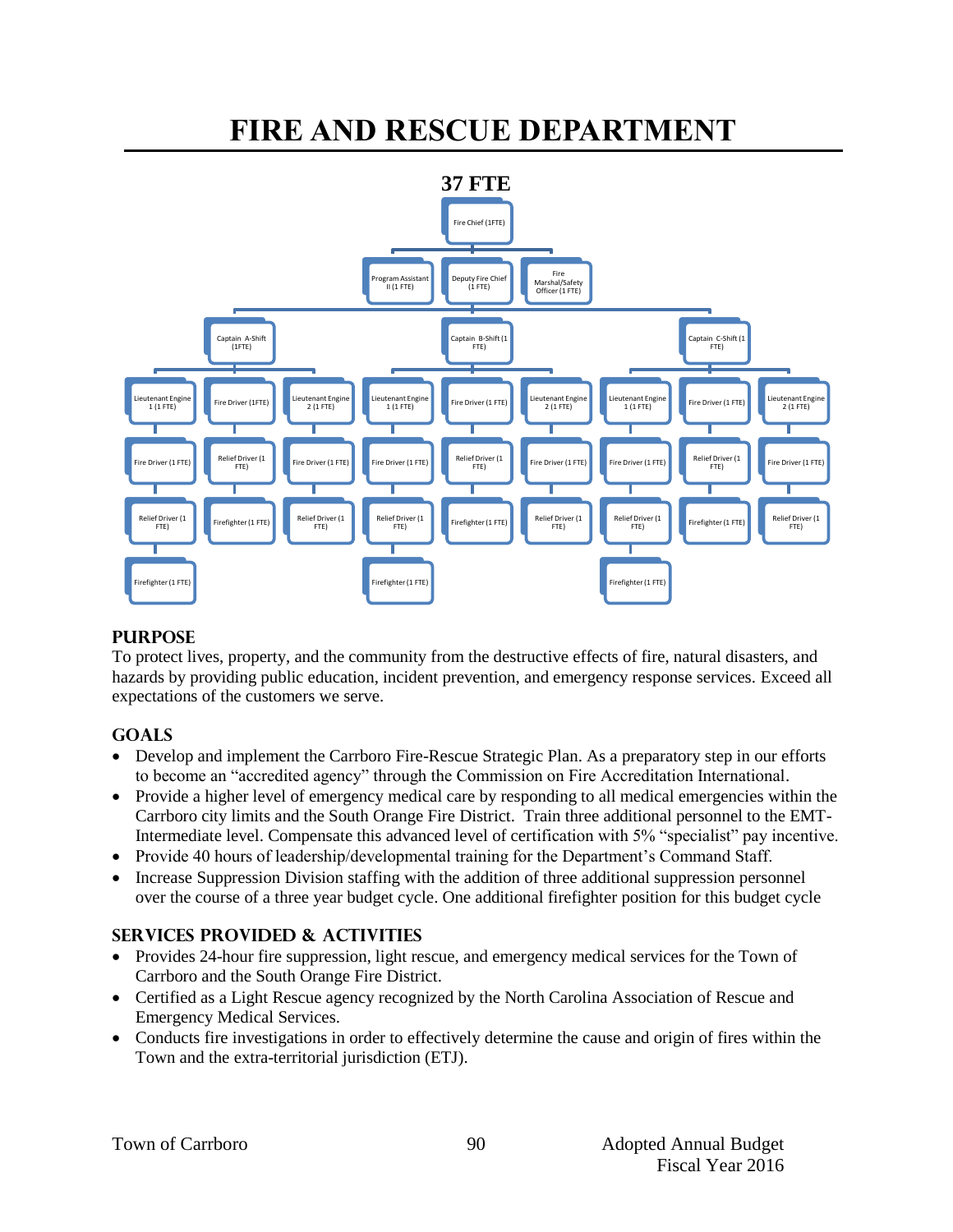# **FIRE AND RESCUE DEPARTMENT**



#### **PURPOSE**

To protect lives, property, and the community from the destructive effects of fire, natural disasters, and hazards by providing public education, incident prevention, and emergency response services. Exceed all expectations of the customers we serve.

#### **GOALS**

- Develop and implement the Carrboro Fire-Rescue Strategic Plan. As a preparatory step in our efforts to become an "accredited agency" through the Commission on Fire Accreditation International.
- Provide a higher level of emergency medical care by responding to all medical emergencies within the Carrboro city limits and the South Orange Fire District. Train three additional personnel to the EMT-Intermediate level. Compensate this advanced level of certification with 5% "specialist" pay incentive.
- Provide 40 hours of leadership/developmental training for the Department's Command Staff.
- Increase Suppression Division staffing with the addition of three additional suppression personnel over the course of a three year budget cycle. One additional firefighter position for this budget cycle

#### **SERVICES PROVIDED & ACTIVITIES**

- Provides 24-hour fire suppression, light rescue, and emergency medical services for the Town of Carrboro and the South Orange Fire District.
- Certified as a Light Rescue agency recognized by the North Carolina Association of Rescue and Emergency Medical Services.
- Conducts fire investigations in order to effectively determine the cause and origin of fires within the Town and the extra-territorial jurisdiction (ETJ).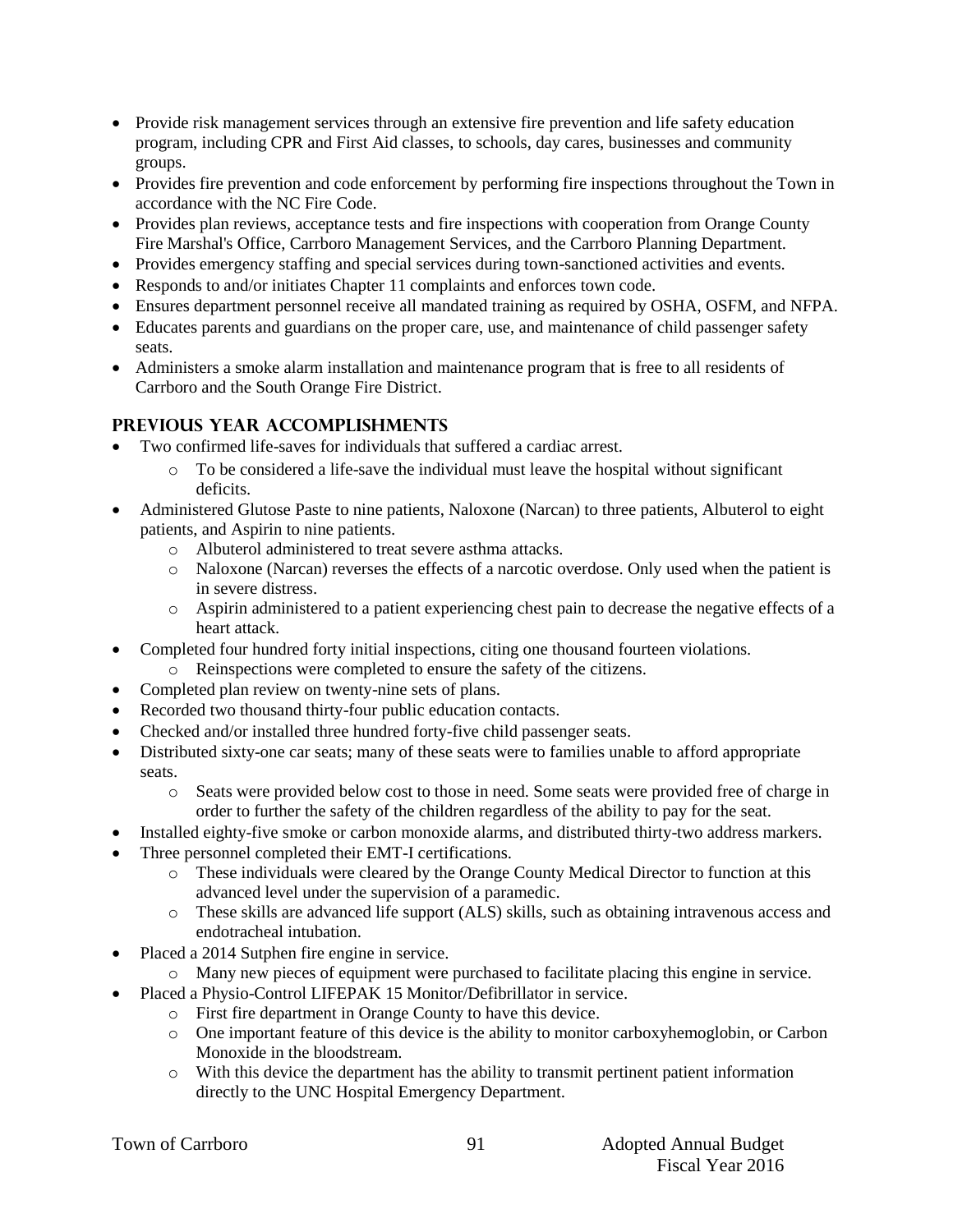- Provide risk management services through an extensive fire prevention and life safety education program, including CPR and First Aid classes, to schools, day cares, businesses and community groups.
- Provides fire prevention and code enforcement by performing fire inspections throughout the Town in accordance with the NC Fire Code.
- Provides plan reviews, acceptance tests and fire inspections with cooperation from Orange County Fire Marshal's Office, Carrboro Management Services, and the Carrboro Planning Department.
- Provides emergency staffing and special services during town-sanctioned activities and events.
- Responds to and/or initiates Chapter 11 complaints and enforces town code.
- Ensures department personnel receive all mandated training as required by OSHA, OSFM, and NFPA.
- Educates parents and guardians on the proper care, use, and maintenance of child passenger safety seats.
- Administers a smoke alarm installation and maintenance program that is free to all residents of Carrboro and the South Orange Fire District.

### **PREVIOUS YEAR ACCOMPLISHMENTS**

- Two confirmed life-saves for individuals that suffered a cardiac arrest.
	- $\circ$  To be considered a life-save the individual must leave the hospital without significant deficits.
- Administered Glutose Paste to nine patients, Naloxone (Narcan) to three patients, Albuterol to eight patients, and Aspirin to nine patients.
	- o Albuterol administered to treat severe asthma attacks.
	- o Naloxone (Narcan) reverses the effects of a narcotic overdose. Only used when the patient is in severe distress.
	- o Aspirin administered to a patient experiencing chest pain to decrease the negative effects of a heart attack.
- Completed four hundred forty initial inspections, citing one thousand fourteen violations.
	- o Reinspections were completed to ensure the safety of the citizens.
- Completed plan review on twenty-nine sets of plans.
- Recorded two thousand thirty-four public education contacts.
- Checked and/or installed three hundred forty-five child passenger seats.
- Distributed sixty-one car seats; many of these seats were to families unable to afford appropriate seats.
	- o Seats were provided below cost to those in need. Some seats were provided free of charge in order to further the safety of the children regardless of the ability to pay for the seat.
- Installed eighty-five smoke or carbon monoxide alarms, and distributed thirty-two address markers.
- Three personnel completed their EMT-I certifications.
	- o These individuals were cleared by the Orange County Medical Director to function at this advanced level under the supervision of a paramedic.
	- o These skills are advanced life support (ALS) skills, such as obtaining intravenous access and endotracheal intubation.
- Placed a 2014 Sutphen fire engine in service.
- o Many new pieces of equipment were purchased to facilitate placing this engine in service.
- Placed a Physio-Control LIFEPAK 15 Monitor/Defibrillator in service.
	- o First fire department in Orange County to have this device.
	- o One important feature of this device is the ability to monitor carboxyhemoglobin, or Carbon Monoxide in the bloodstream.
	- o With this device the department has the ability to transmit pertinent patient information directly to the UNC Hospital Emergency Department.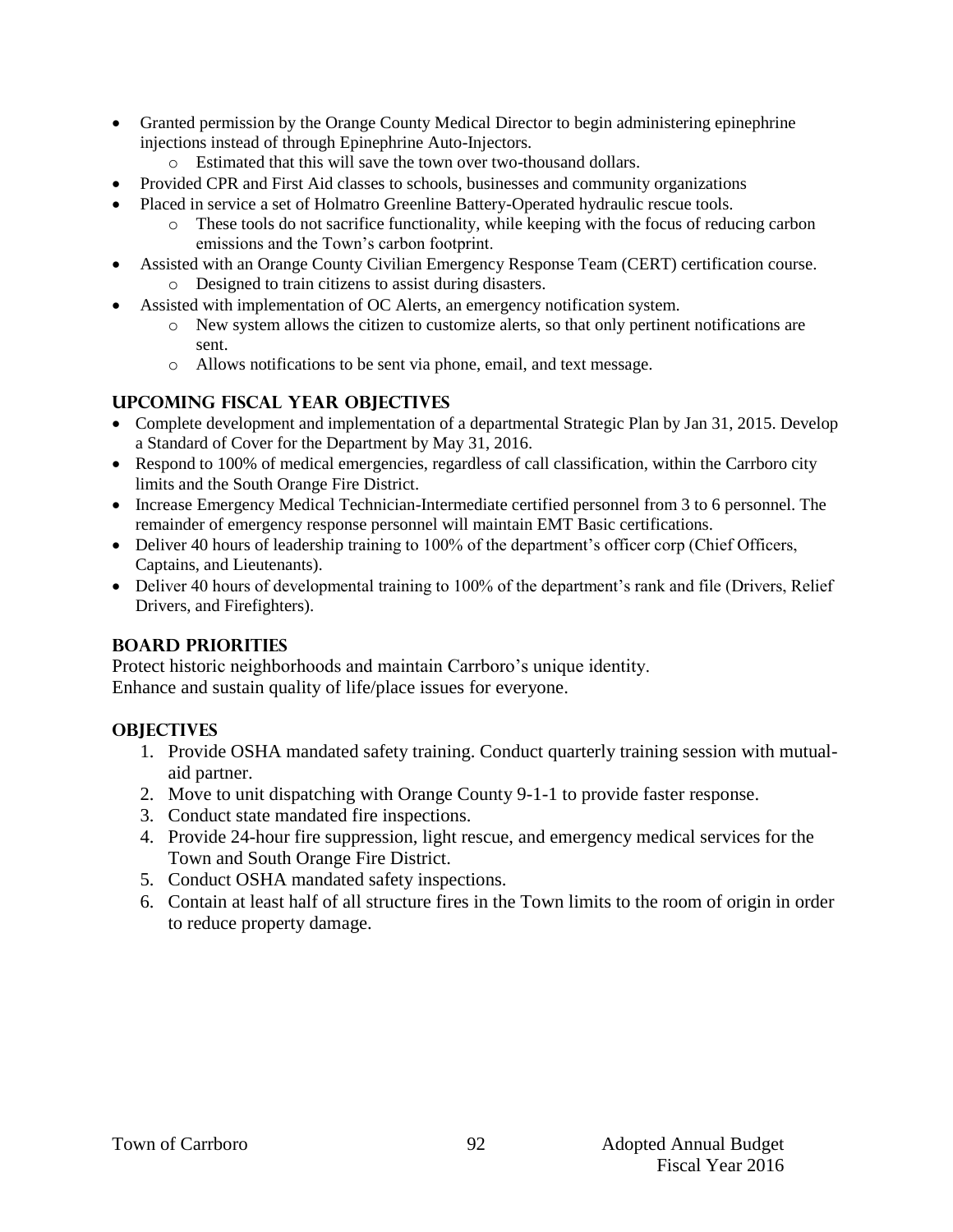- Granted permission by the Orange County Medical Director to begin administering epinephrine injections instead of through Epinephrine Auto-Injectors.
	- o Estimated that this will save the town over two-thousand dollars.
- Provided CPR and First Aid classes to schools, businesses and community organizations
- Placed in service a set of Holmatro Greenline Battery-Operated hydraulic rescue tools.
	- o These tools do not sacrifice functionality, while keeping with the focus of reducing carbon emissions and the Town's carbon footprint.
- Assisted with an Orange County Civilian Emergency Response Team (CERT) certification course. o Designed to train citizens to assist during disasters.
	- Assisted with implementation of OC Alerts, an emergency notification system.
		- o New system allows the citizen to customize alerts, so that only pertinent notifications are sent.
		- o Allows notifications to be sent via phone, email, and text message.

### **UPCOMING FISCAL YEAR OBJECTIVES**

- Complete development and implementation of a departmental Strategic Plan by Jan 31, 2015. Develop a Standard of Cover for the Department by May 31, 2016.
- Respond to 100% of medical emergencies, regardless of call classification, within the Carrboro city limits and the South Orange Fire District.
- Increase Emergency Medical Technician-Intermediate certified personnel from 3 to 6 personnel. The remainder of emergency response personnel will maintain EMT Basic certifications.
- Deliver 40 hours of leadership training to 100% of the department's officer corp (Chief Officers, Captains, and Lieutenants).
- Deliver 40 hours of developmental training to 100% of the department's rank and file (Drivers, Relief) Drivers, and Firefighters).

#### **BOARD PRIORITIES**

Protect historic neighborhoods and maintain Carrboro's unique identity. Enhance and sustain quality of life/place issues for everyone.

#### **OBJECTIVES**

- 1. Provide OSHA mandated safety training. Conduct quarterly training session with mutualaid partner.
- 2. Move to unit dispatching with Orange County 9-1-1 to provide faster response.
- 3. Conduct state mandated fire inspections.
- 4. Provide 24-hour fire suppression, light rescue, and emergency medical services for the Town and South Orange Fire District.
- 5. Conduct OSHA mandated safety inspections.
- 6. Contain at least half of all structure fires in the Town limits to the room of origin in order to reduce property damage.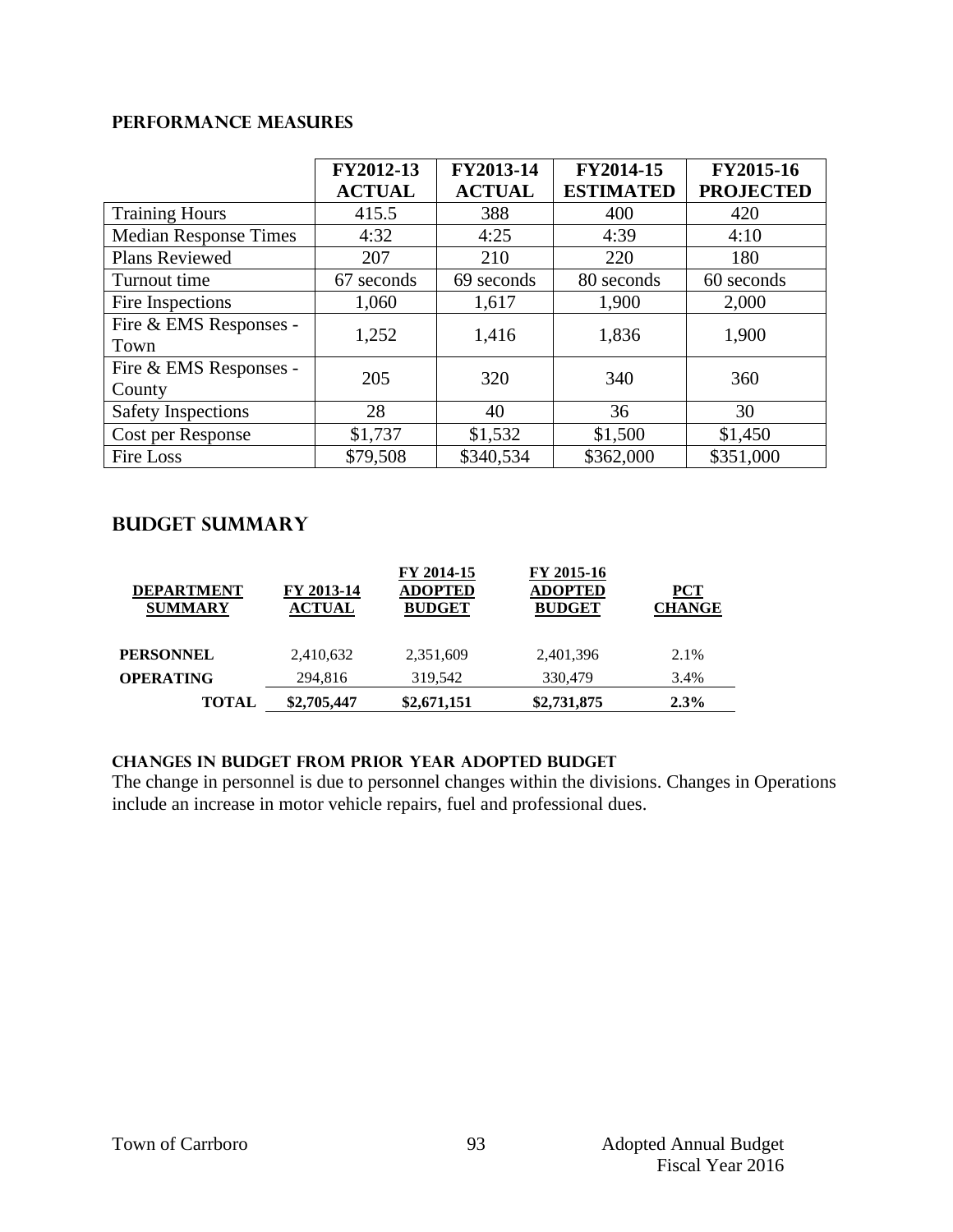### **Performance Measures**

|                                  | FY2012-13<br><b>ACTUAL</b> | FY2013-14<br><b>ACTUAL</b> | FY2014-15<br><b>ESTIMATED</b> | FY2015-16<br><b>PROJECTED</b> |
|----------------------------------|----------------------------|----------------------------|-------------------------------|-------------------------------|
| <b>Training Hours</b>            | 415.5                      | 388                        | 400                           | 420                           |
| <b>Median Response Times</b>     | 4:32                       | 4:25                       | 4:39                          | 4:10                          |
| <b>Plans Reviewed</b>            | 207                        | 210                        | 220                           | 180                           |
| Turnout time                     | 67 seconds                 | 69 seconds                 | 80 seconds                    | 60 seconds                    |
| Fire Inspections                 | 1,060                      | 1,617                      | 1,900                         | 2,000                         |
| Fire & EMS Responses -<br>Town   | 1,252                      | 1,416                      | 1,836                         | 1,900                         |
| Fire & EMS Responses -<br>County | 205                        | 320                        | 340                           | 360                           |
| <b>Safety Inspections</b>        | 28                         | 40                         | 36                            | 30                            |
| Cost per Response                | \$1,737                    | \$1,532                    | \$1,500                       | \$1,450                       |
| <b>Fire Loss</b>                 | \$79,508                   | \$340,534                  | \$362,000                     | \$351,000                     |

## **Budget summary**

| <b>DEPARTMENT</b><br><b>SUMMARY</b> | FY 2013-14<br><b>ACTUAL</b> | FY 2014-15<br><b>ADOPTED</b><br><b>BUDGET</b> | FY 2015-16<br><b>ADOPTED</b><br><b>BUDGET</b> | <b>PCT</b><br><b>CHANGE</b> |
|-------------------------------------|-----------------------------|-----------------------------------------------|-----------------------------------------------|-----------------------------|
| <b>PERSONNEL</b>                    | 2,410,632                   | 2,351,609                                     | 2,401,396                                     | 2.1%                        |
| <b>OPERATING</b>                    | 294,816                     | 319,542                                       | 330,479                                       | 3.4%                        |
| TOTAL                               | \$2,705,447                 | \$2,671,151                                   | \$2,731,875                                   | 2.3%                        |

#### **CHANGES IN BUDGET from PRIOR YEAR ADOPTED BUDGET**

The change in personnel is due to personnel changes within the divisions. Changes in Operations include an increase in motor vehicle repairs, fuel and professional dues.